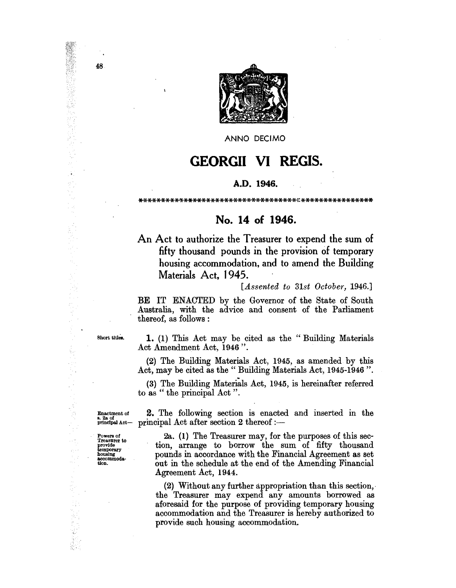

ANNO DECIMO

## **GEORGII VI REGIS.**

## A.D. 1946.

## No. 14 of 1946.

An Act to authorize the Treasurer to expend the sum of fifty thousand pounds in the provision of temporary housing accommodation, and to amend the Building Materials Act, 1945.

 $[Assented\ to\ 31st\ October, 1946.]$ 

BE IT ENACTED by the Governor of the State of South Australia, with the advice and consent of the Parliament thereof, as follows:

Short titles.

1. (1) This Act may be cited as the "Building Materials Act Amendment Act, 1946".

(2) The Building Materials Act, 1945, as amended by this Act, may be cited as the "Building Materials Act, 1945-1946".

(3) The Building Materials Act, 1945, is hereinafter referred to as "the principal Act".

2. The following section is enacted and inserted in the

Enactment of principal Act-

Powers of<br>Treasurer to provide<br>temporary<br>housing accommodation.

principal Act after section 2 thereof :-2a. (1) The Treasurer may, for the purposes of this section, arrange to borrow the sum of fifty thousand pounds in accordance with the Financial Agreement as set out in the schedule at the end of the Amending Financial

Agreement Act, 1944.

(2) Without any further appropriation than this section, the Treasurer may expend any amounts borrowed as aforesaid for the purpose of providing temporary housing accommodation and the Treasurer is hereby authorized to provide such housing accommodation.

48

 $\overline{\phantom{a}}$ 

(2002年)2月10日に、1990年には、1990年に、1990年には、1990年には、1990年には、1990年には、1990年には、1990年には、1990年には、1990年には、1990年には、1990年には、1990年には、1990年には、1990年には、1990年には、1990年には、1990年には、1990年には、1990年には、1990年には、1990年には、1990年には、1990年には、1990年には、1990年に

Ķ

 $\frac{d}{dt}$ 

 $\frac{1}{2}$  ,  $\frac{1}{2}$ 

 $\omega_1$  .

 $\frac{1}{2\pi}$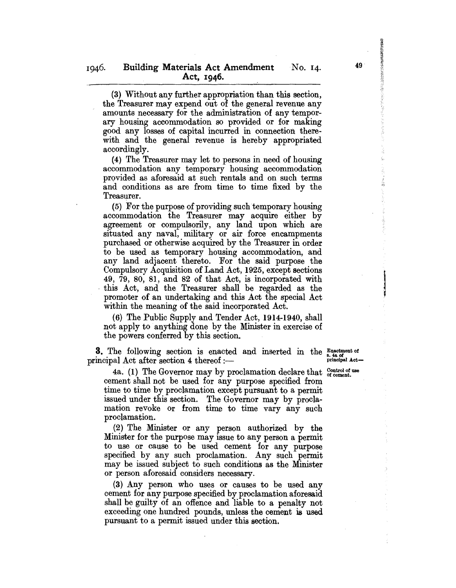(3) Without any further appropriation than this section, the Treasurer may expend out of the general revenue any amounts necessary for the administration of any temporary housing accommodation so provided or for making good any losses of capital incurred in connection therewith and the general revenue is hereby appropriated accordingly.

(4) The Treasurer may let to persons in need of housing accommodation any temporary housing accommodation provided as aforesaid at such rentals and on such terms and conditions as are from time to time fixed by the Treasurer.

(5) For the purpose of providing such temporary housing accommodation the Treasurer may acquire either by agreement or compulsorily, any land upon which are situated any naval, military or air force encampments purchased or otherwise acquired by the Treasurer in order to be used as temporary housing accommodation, and any land adjacent thereto. For the said purpose the Compulsory Acquisition of Land Act, 1925, except sections 49, 79, 80, 81, and 82 of that Act, is incorporated with . this Act, and the Treasurer shall be regarded as the promoter of an undertaking and this Act the special Act within the meaning of the said incorporated Act.

(6) The Public Supply and Tender Act, 1914-1940, shall not apply to anything done by the Minister in exercise of the powers conferred by this section.

**3.** The following section is enacted and inserted in the  $_{s,4}^{\text{Exact}}$  of incipal Act after section 4 thereof :principal Act after section 4 thereof: $-$ 

I

4a. (1) The Governor may by proclamation declare that  $_{\text{of cement.}}^{\text{Control of use}}$ cement shall not be used for any purpose specified from time to time by proclamation except pursuant to a permit issued under this section. The Governor may by proclamation revoke or from time to time vary any such proclamation.

(2) The Minister or any person authorized by the Minister for the purpose may issue to any person a permit to use or cause to be used cement for any purpose specified by any such proclamation. Any such permit may be issued subject to such conditions as the Minister or person aforesaid considers necessary.

(3) Any person who uses or causes to be used any cement for any purpose specified by proclamation aforesaid shall be guilty of an offence and liable to a penalty not exceeding one hundred pounds, unless the cement is used pursuant to a permit issued under this section.

49

ことについていることに、などのなると、このことについていっと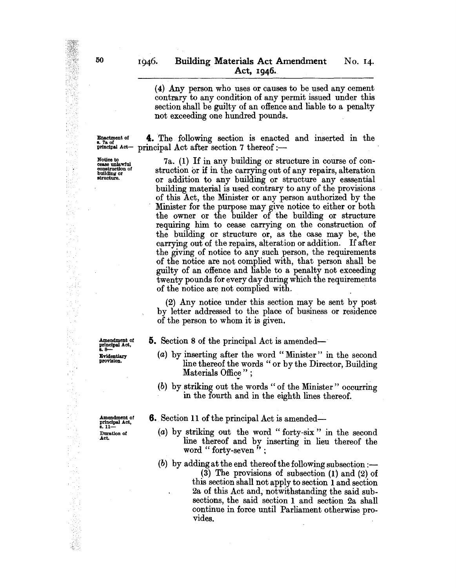(4) Any person who uses or causes to be used any cement contrary to any condition of any permit issued under this section shall be guilty of an offence and liable to a penalty not exceeding one hundred pounds.

E~ttrent of 4. The following section is enacted and inserted in the  $r$ incipal Act after section 7 thereof :-

Notice to<br>
cease unlawful 7a. (1) If in any building or structure in course of con-<br>
construction of struction or if in the carrying out of any repairs, alteration<br>
building or construction of struction or if in the carrying out of any repairs, alteration building or structure.<br>structure. or addition to any building or structure any esssential building material is used contrary to any of the provisions of this Act, the Minister or any person authorized by the Minister for the purpose may give notice to either or both the owner or the builder of the building or structure requiring him to cease carrying on the construction of the building or structure or, as the case may be, the carrying out of the repairs, alteration or addition. If after the giving of notice to any such person, the requirements of the notice are not complied with, that person shall be guilty of an offence and liable to a penalty not exceeding twenty pounds for every day during which the requirements of the notice are not complied with. .

> (2) Any notice under this section may be sent by post by letter addressed to the place of business or residence of the person to whom it is given.

Amendment of<br>principal Act,<br>s. 8---

Evidentiary provision.

5. Section 8 of the principal Act is amended-

6. Section 11 of the principal Act is amended-

- (a) by inserting after the word" Minister" in the second line thereof the words " or by the Director, Building Materials Office";
- (b) by striking out the words " of the Minister" occurring in the fourth and in the eighth lines thereof.

Amendment of principal Act,<br>8. 11— Duration of

Act.

(a) by striking out the word" forty-six" in the second line thereof and by inserting in lieu thereof the word " forty-seven" :

(b) by adding at the end thereof the following subsection  $:$ --(3) The provisions of subsection (1) and (2) of this section shall not apply to section 1 and section 2a of this Act and, notwithstanding the said subsections, the said section I and section 2a shall continue in force until Parliament otherwise provides.

ing 

건류 科學 ng).

 $\frac{1}{2} \frac{1}{2} \frac{1}{2} \frac{1}{2}$  .

a, ny  $\bar{\beta}$ 显표 일 속  $\frac{1}{\sqrt{2}}\frac{d^2}{d^2}$ ť. i, š

麻  $\frac{1}{2}$ W

 $\frac{1}{\sqrt{2}}$ 

k.<br>Mg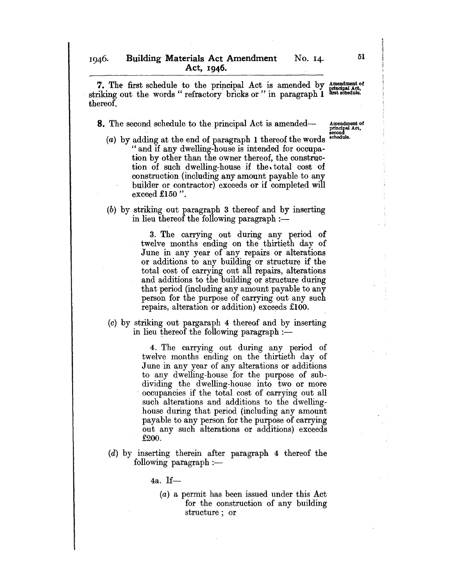7. The first schedule to the principal Act is amended by  $\frac{\text{amendment of}}{\text{principle}}$  in  $\frac{\text{out the words}}{\text{out of the words}}$  for  $\frac{\text{triched}(\text{out})}{\text{in of the words}}$ striking out the words " refractory bricks or " in paragraph 1 thereof.

**8.** The second schedule to the principal Act is amended-

- Amendment of<br>principal Act,<br>second<br>schedule. (a) by adding at the end of paragraph 1 thereof the words "and if any dwelling-house is intended for occupation by other than the owner thereof, the construction of such dwelling-house jf the. total cost of construction (including any amount payable to any builder or contractor) exceeds or if completed will exceed £150 ".
- (b) by striking out paragraph 3 thereof and by inserting in lieu thereof the following paragraph  $:$

3. The carrying out during any period of twelve months ending on the thirtieth day of June in any year of any repairs or alterations or additions to any building or structure if the total cost of carrying out all repairs, alterations and additions to the building or structure during that period (including any amount payable to any person for the purpose of carrying out any such repairs, alteration or addition) exceeds £100.

(0) by striking out pargaraph 4 thereof and by inserting in lieu thereof the following paragraph  $:$ 

> 4. The carrying out during any period of twelve months ending on the thirtieth day of June in any year of any alterations or additions to any dwelling-house for the purpose of subdividing the dwelling-house into two or more occupancies if the total cost of carrying out all such alterations and additions to the dwellinghouse during that period (including any amount payable to any person for the purpose of carrying out any such alterations or additions) exceeds £200.

(d) by inserting therein after paragraph 4 thereof the following paragraph  $:$ ---

4a. 1£-

(a) a permit has been issued under this Act for the construction of any building structure; or